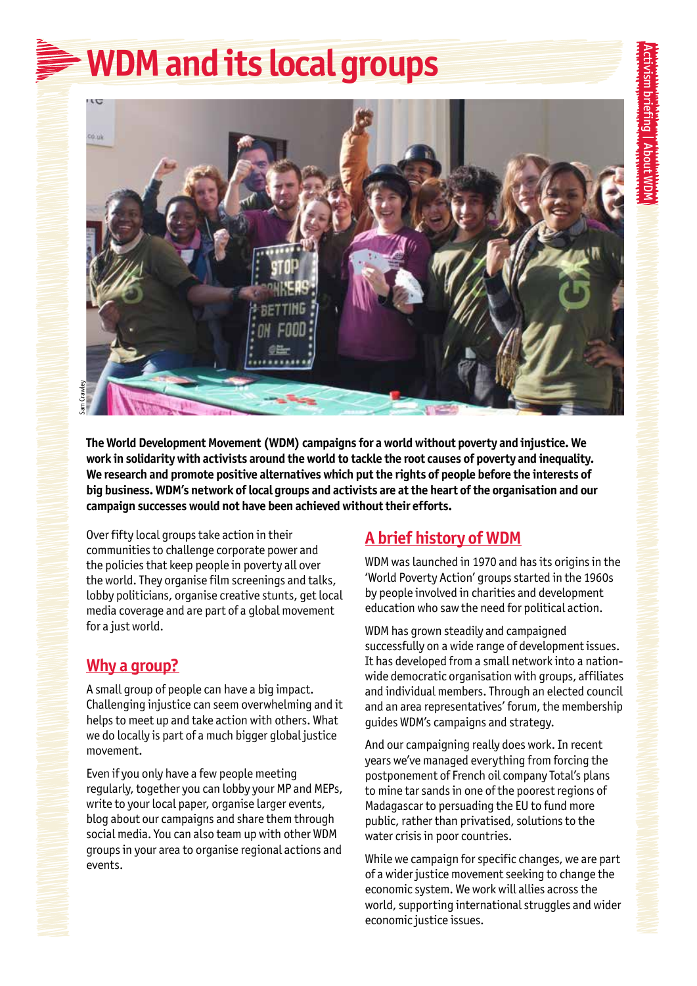# **WDM and its local groups**



**The World Development Movement (WDM) campaigns for a world without poverty and injustice. We work in solidarity with activists around the world to tackle the root causes of poverty and inequality. We research and promote positive alternatives which put the rights of people before the interests of big business. WDM's network of local groups and activists are at the heart of the organisation and our campaign successes would not have been achieved without their efforts.** 

Over fifty local groups take action in their communities to challenge corporate power and the policies that keep people in poverty all over the world. They organise film screenings and talks, lobby politicians, organise creative stunts, get local media coverage and are part of a global movement for a just world.

### **Why a group?**

A small group of people can have a big impact. Challenging injustice can seem overwhelming and it helps to meet up and take action with others. What we do locally is part of a much bigger global justice movement.

Even if you only have a few people meeting regularly, together you can lobby your MP and MEPs, write to your local paper, organise larger events, blog about our campaigns and share them through social media. You can also team up with other WDM groups in your area to organise regional actions and events.

## **A brief history of WDM**

WDM was launched in 1970 and has its origins in the 'World Poverty Action' groups started in the 1960s by people involved in charities and development education who saw the need for political action.

WDM has grown steadily and campaigned successfully on a wide range of development issues. It has developed from a small network into a nationwide democratic organisation with groups, affiliates and individual members. Through an elected council and an area representatives' forum, the membership guides WDM's campaigns and strategy.

And our campaigning really does work. In recent years we've managed everything from forcing the postponement of French oil company Total's plans to mine tar sands in one of the poorest regions of Madagascar to persuading the EU to fund more public, rather than privatised, solutions to the water crisis in poor countries.

While we campaign for specific changes, we are part of a wider justice movement seeking to change the economic system. We work will allies across the world, supporting international struggles and wider economic justice issues.